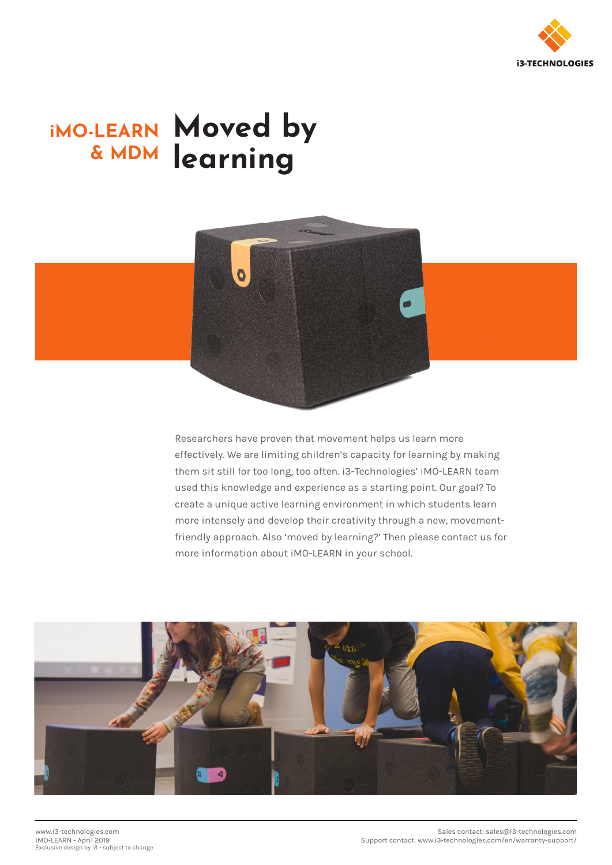

# **iMO-LEARN & MDM Moved by learning**



Researchers have proven that movement helps us learn more effectively. We are limiting children's capacity for learning by making them sit still for too long, too often. i3-Technologies' iMO-LEARN team used this knowledge and experience as a starting point. Our goal? To create a unique active learning environment in which students learn more intensely and develop their creativity through a new, movementfriendly approach. Also 'moved by learning?' Then please contact us for more information about iMO-LEARN in your school.